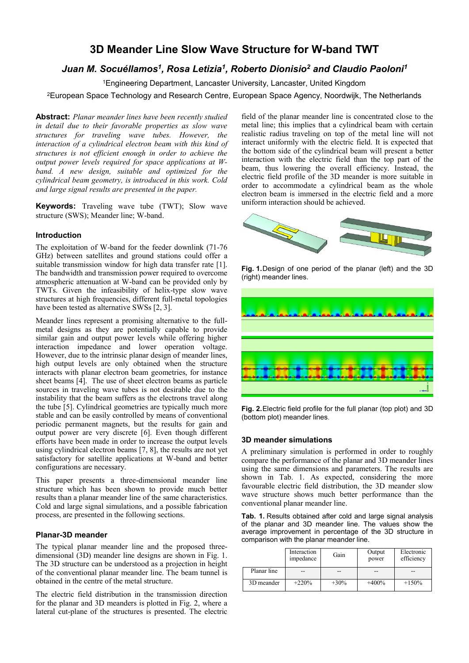# **3D Meander Line Slow Wave Structure for W-band TWT**

## *Juan M. Socuéllamos<sup>1</sup> , Rosa Letizia<sup>1</sup> , Roberto Dionisio<sup>2</sup> and Claudio Paoloni<sup>1</sup>*

<sup>1</sup>Engineering Department, Lancaster University, Lancaster, United Kingdom

<sup>2</sup>European Space Technology and Research Centre, European Space Agency, Noordwijk, The Netherlands

**Abstract:** *Planar meander lines have been recently studied in detail due to their favorable properties as slow wave structures for traveling wave tubes. However, the interaction of a cylindrical electron beam with this kind of structures is not efficient enough in order to achieve the output power levels required for space applications at Wband. A new design, suitable and optimized for the cylindrical beam geometry, is introduced in this work. Cold and large signal results are presented in the paper.*

**Keywords:** Traveling wave tube (TWT); Slow wave structure (SWS); Meander line; W-band.

#### **Introduction**

The exploitation of W-band for the feeder downlink (71-76 GHz) between satellites and ground stations could offer a suitable transmission window for high data transfer rate [1]. The bandwidth and transmission power required to overcome atmospheric attenuation at W-band can be provided only by TWTs. Given the infeasibility of helix-type slow wave structures at high frequencies, different full-metal topologies have been tested as alternative SWSs [2, 3].

Meander lines represent a promising alternative to the fullmetal designs as they are potentially capable to provide similar gain and output power levels while offering higher interaction impedance and lower operation voltage. However, due to the intrinsic planar design of meander lines, high output levels are only obtained when the structure interacts with planar electron beam geometries, for instance sheet beams [4]. The use of sheet electron beams as particle sources in traveling wave tubes is not desirable due to the instability that the beam suffers as the electrons travel along the tube [5]. Cylindrical geometries are typically much more stable and can be easily controlled by means of conventional periodic permanent magnets, but the results for gain and output power are very discrete [6]. Even though different efforts have been made in order to increase the output levels using cylindrical electron beams [7, 8], the results are not yet satisfactory for satellite applications at W-band and better configurations are necessary.

This paper presents a three-dimensional meander line structure which has been shown to provide much better results than a planar meander line of the same characteristics. Cold and large signal simulations, and a possible fabrication process, are presented in the following sections.

### **Planar-3D meander**

The typical planar meander line and the proposed threedimensional (3D) meander line designs are shown in Fig. 1. The 3D structure can be understood as a projection in height of the conventional planar meander line. The beam tunnel is obtained in the centre of the metal structure.

The electric field distribution in the transmission direction for the planar and 3D meanders is plotted in Fig. 2, where a lateral cut-plane of the structures is presented. The electric

field of the planar meander line is concentrated close to the metal line; this implies that a cylindrical beam with certain realistic radius traveling on top of the metal line will not interact uniformly with the electric field. It is expected that the bottom side of the cylindrical beam will present a better interaction with the electric field than the top part of the beam, thus lowering the overall efficiency. Instead, the electric field profile of the 3D meander is more suitable in order to accommodate a cylindrical beam as the whole electron beam is immersed in the electric field and a more uniform interaction should be achieved.



**Fig. 1.**Design of one period of the planar (left) and the 3D (right) meander lines.



**Fig. 2.**Electric field profile for the full planar (top plot) and 3D (bottom plot) meander lines.

#### **3D meander simulations**

A preliminary simulation is performed in order to roughly compare the performance of the planar and 3D meander lines using the same dimensions and parameters. The results are shown in Tab. 1. As expected, considering the more favourable electric field distribution, the 3D meander slow wave structure shows much better performance than the conventional planar meander line.

**Tab. 1.** Results obtained after cold and large signal analysis of the planar and 3D meander line. The values show the average improvement in percentage of the 3D structure in comparison with the planar meander line.

|             | Interaction<br>impedance | Gain    | Output<br>power | Electronic<br>efficiency |
|-------------|--------------------------|---------|-----------------|--------------------------|
| Planar line | --                       | --      |                 |                          |
| 3D meander  | $+220%$                  | $+30\%$ | $+400%$         | $+150%$                  |